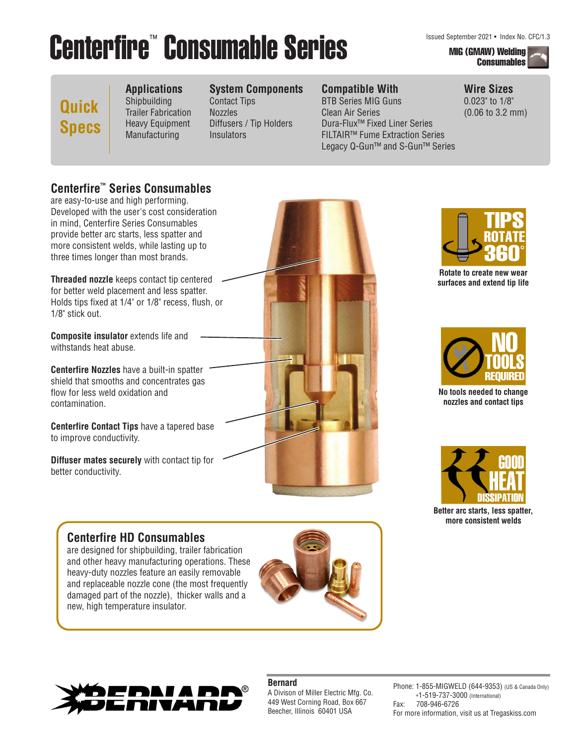# Centerfire<sup>™</sup> Consumable Series Manager and Center 2021 • Index No. CFC/1.3

## **Consumables**

**Wire Sizes** 0.023" to 1/8" (0.06 to 3.2 mm)

### **Quick Specs**

**Applications** Shipbuilding Trailer Fabrication Heavy Equipment

Manufacturing

### **System Components**

Contact Tips Nozzles Diffusers / Tip Holders **Insulators** 

### **Compatible With**

BTB Series MIG Guns Clean Air Series Dura-Flux™ Fixed Liner Series FILTAIR™ Fume Extraction Series Legacy Q-Gun™ and S-Gun™ Series

### **Centerfire™ Series Consumables**

are easy-to-use and high performing. Developed with the user's cost consideration in mind, Centerfire Series Consumables provide better arc starts, less spatter and more consistent welds, while lasting up to three times longer than most brands.

**Threaded nozzle** keeps contact tip centered for better weld placement and less spatter. Holds tips fixed at 1/4" or 1/8" recess, flush, or 1/8" stick out.

**Composite insulator** extends life and withstands heat abuse.

**Centerfire Nozzles** have a built-in spatter shield that smooths and concentrates gas flow for less weld oxidation and contamination.

**Centerfire Contact Tips** have a tapered base to improve conductivity.

**Diffuser mates securely** with contact tip for better conductivity.

### **Centerfire HD Consumables**  are designed for shipbuilding, trailer fabrication

and other heavy manufacturing operations. These heavy-duty nozzles feature an easily removable and replaceable nozzle cone (the most frequently damaged part of the nozzle), thicker walls and a new, high temperature insulator.







**Rotate to create new wear surfaces and extend tip life**



**No tools needed to change nozzles and contact tips**



**Better arc starts, less spatter, more consistent welds**



#### **Bernard**

A Divison of Miller Electric Mfg. Co. 449 West Corning Road, Box 667 Beecher, Illinois 60401 USA

Phone: 1-855-MIGWELD (644-9353) (US & Canada Only) +1-519-737-3000 (International) Fax: 708-946-6726 For more information, visit us at Tregaskiss.com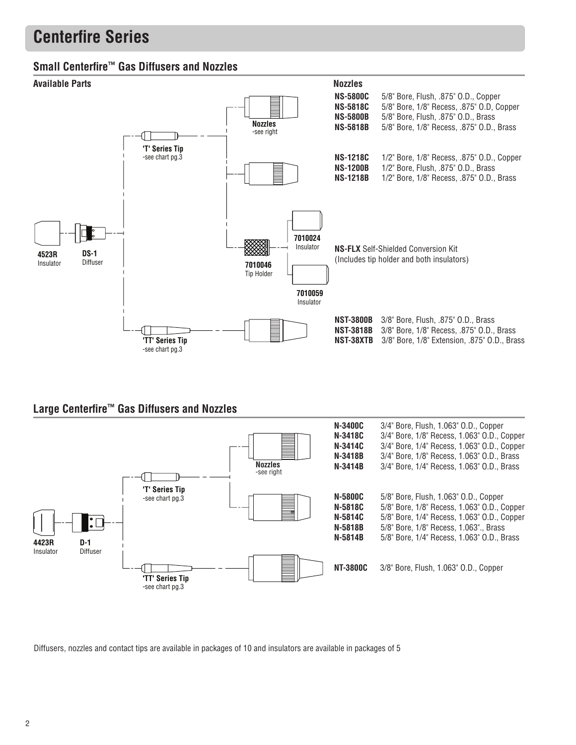### **Centerfire Series**

### **Small Centerfire™ Gas Diffusers and Nozzles**



### **Large Centerfire™ Gas Diffusers and Nozzles**



Diffusers, nozzles and contact tips are available in packages of 10 and insulators are available in packages of 5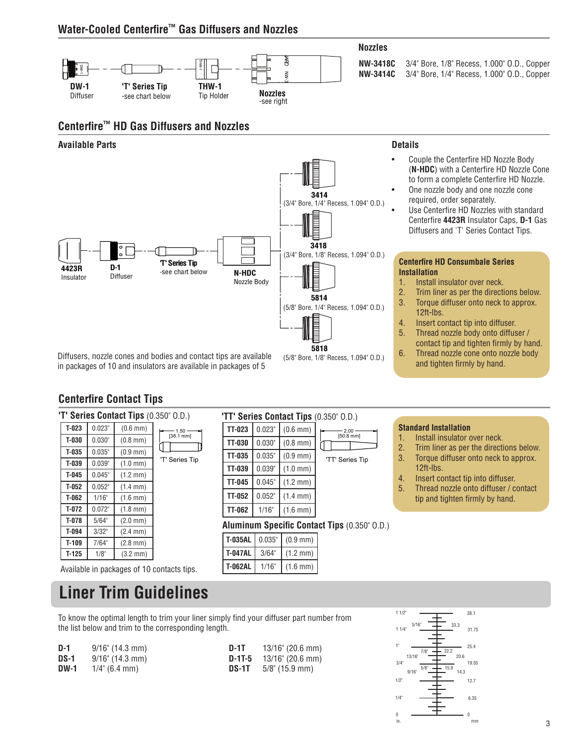### **Water-Cooled Centerfire™ Gas Diffusers and Nozzles**



**'TT' Series Contact Tips** (0.350" O.D.)

**Aluminum Specific Contact Tips** (0.350" O.D.)

**TT-023**  $\big| 0.023^\circ \big| (0.6 \text{ mm})$ **TT-030**  $\vert$  0.030"  $\vert$  (0.8 mm)  $TT-035$  0.035 (0.9 mm) **TT-039**  $\big| 0.039^\circ \big| (1.0 \text{ mm})$ **TT-045**  $\big| 0.045^\circ \big| (1.2 \text{ mm})$ **TT-052**  $\big| 0.052^\circ \big| (1.4 \text{ mm})$ **TT-062** |  $1/16$ " |  $(1.6$  mm)

**T-035AL** 0.035" (0.9 mm) **T-047AL** 3/64" (1.2 mm) **T-062AL** 1/16" (1.6 mm) 'TT' Series Tip

 $2.00 \cdot$ [50.8 mm]

contact tip and tighten firmly by hand. 6. Thread nozzle cone onto nozzle body and tighten firmly by hand.



**Centerfire Contact Tips**

| 'T' Series Contact Tips (0.350" O.D.) |        |                      |                       |  |  |  |  |  |  |
|---------------------------------------|--------|----------------------|-----------------------|--|--|--|--|--|--|
| $T-023$                               | 0.023" | $(0.6 \, \text{mm})$ | 1.50                  |  |  |  |  |  |  |
| $T-030$                               | 0.030" | $(0.8 \, \text{mm})$ | $[38.1 \, \text{mm}]$ |  |  |  |  |  |  |
| $T-035$                               | 0.035" | $(0.9 \, \text{mm})$ |                       |  |  |  |  |  |  |
| $T-039$                               | 0.039" | $(1.0 \, \text{mm})$ | "T' Series"           |  |  |  |  |  |  |
| $T-045$                               | 0.045" | $(1.2 \text{ mm})$   |                       |  |  |  |  |  |  |
| $T-052$                               | 0.052" | $(1.4 \text{ mm})$   |                       |  |  |  |  |  |  |
| $T-062$                               | 1/16"  | $(1.6 \, \text{mm})$ |                       |  |  |  |  |  |  |
| $T-072$                               | 0.072" | $(1.8 \text{ mm})$   |                       |  |  |  |  |  |  |
| $T-078$                               | 5/64"  | $(2.0 \, \text{mm})$ |                       |  |  |  |  |  |  |
| $T-094$                               | 3/32"  | $(2.4 \, \text{mm})$ |                       |  |  |  |  |  |  |
| $T-109$                               | 7/64"  | $(2.8 \text{ mm})$   |                       |  |  |  |  |  |  |
| $T-125$                               | 1/8"   | $(3.2 \, \text{mm})$ |                       |  |  |  |  |  |  |

Available in packages of 10 contacts tips.

### **Liner Trim Guidelines**

To know the optimal length to trim your liner simply find your diffuser part number from the list below and trim to the corresponding length.

| D-1         | $9/16$ " (14.3 mm) | D-1T   | 13/16" (20.6 mm)               |
|-------------|--------------------|--------|--------------------------------|
| <b>DS-1</b> | $9/16$ " (14.3 mm) | D-1T-5 | 13/16" (20.6 mm)               |
| <b>DW-1</b> | $1/4$ " (6.4 mm)   |        | <b>DS-1T</b> $5/8$ " (15.9 mm) |

Tip

#### 6.35 12.7 19.05 25.4 31.75 38.1 0 1 1/2" 1 1/4" 1"  $3/A$  $1/2$ 1/4" 0  $9/16"$   $14.3$  $13/16$ "  $-$  20.6 22.2  $5/8$ "  $-$  15.9 7/8" in. mm 5/16" 33.3

#### **Standard Installation**

- 1. Install insulator over neck.
- 2. Trim liner as per the directions below.
- 3. Torque diffuser onto neck to approx.
- 12ft-lbs.
- 4. Insert contact tip into diffuser.
- 5. Thread nozzle onto diffuser / contact tip and tighten firmly by hand.